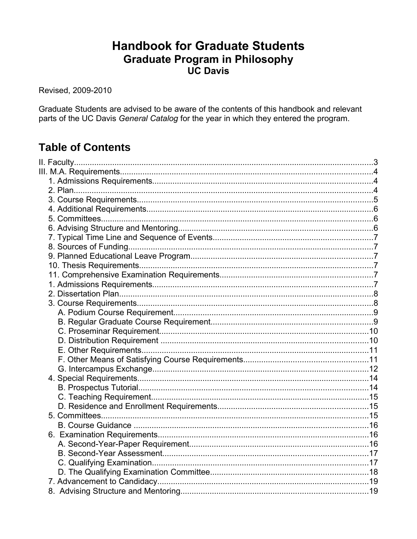# **Handbook for Graduate Students Graduate Program in Philosophy UC Davis**

Revised, 2009-2010

Graduate Students are advised to be aware of the contents of this handbook and relevant parts of the UC Davis General Catalog for the year in which they entered the program.

# **Table of Contents**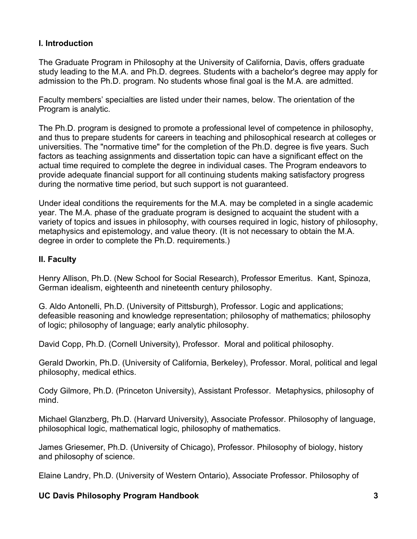# **I. Introduction**

The Graduate Program in Philosophy at the University of California, Davis, offers graduate study leading to the M.A. and Ph.D. degrees. Students with a bachelor's degree may apply for admission to the Ph.D. program. No students whose final goal is the M.A. are admitted.

Faculty members' specialties are listed under their names, below. The orientation of the Program is analytic.

The Ph.D. program is designed to promote a professional level of competence in philosophy, and thus to prepare students for careers in teaching and philosophical research at colleges or universities. The "normative time" for the completion of the Ph.D. degree is five years. Such factors as teaching assignments and dissertation topic can have a significant effect on the actual time required to complete the degree in individual cases. The Program endeavors to provide adequate financial support for all continuing students making satisfactory progress during the normative time period, but such support is not guaranteed.

Under ideal conditions the requirements for the M.A. may be completed in a single academic year. The M.A. phase of the graduate program is designed to acquaint the student with a variety of topics and issues in philosophy, with courses required in logic, history of philosophy, metaphysics and epistemology, and value theory. (It is not necessary to obtain the M.A. degree in order to complete the Ph.D. requirements.)

### **II. Faculty**

Henry Allison, Ph.D. (New School for Social Research), Professor Emeritus. Kant, Spinoza, German idealism, eighteenth and nineteenth century philosophy.

G. Aldo Antonelli, Ph.D. (University of Pittsburgh), Professor. Logic and applications; defeasible reasoning and knowledge representation; philosophy of mathematics; philosophy of logic; philosophy of language; early analytic philosophy.

David Copp, Ph.D. (Cornell University), Professor. Moral and political philosophy.

Gerald Dworkin, Ph.D. (University of California, Berkeley), Professor. Moral, political and legal philosophy, medical ethics.

Cody Gilmore, Ph.D. (Princeton University), Assistant Professor. Metaphysics, philosophy of mind.

Michael Glanzberg, Ph.D. (Harvard University), Associate Professor. Philosophy of language, philosophical logic, mathematical logic, philosophy of mathematics.

James Griesemer, Ph.D. (University of Chicago), Professor. Philosophy of biology, history and philosophy of science.

Elaine Landry, Ph.D. (University of Western Ontario), Associate Professor. Philosophy of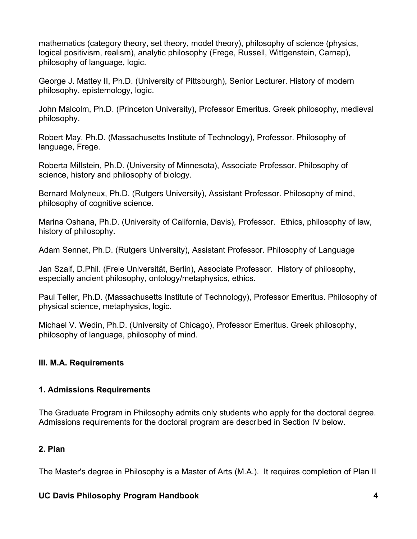mathematics (category theory, set theory, model theory), philosophy of science (physics, logical positivism, realism), analytic philosophy (Frege, Russell, Wittgenstein, Carnap), philosophy of language, logic.

George J. Mattey II, Ph.D. (University of Pittsburgh), Senior Lecturer. History of modern philosophy, epistemology, logic.

John Malcolm, Ph.D. (Princeton University), Professor Emeritus. Greek philosophy, medieval philosophy.

Robert May, Ph.D. (Massachusetts Institute of Technology), Professor. Philosophy of language, Frege.

Roberta Millstein, Ph.D. (University of Minnesota), Associate Professor. Philosophy of science, history and philosophy of biology.

Bernard Molyneux, Ph.D. (Rutgers University), Assistant Professor. Philosophy of mind, philosophy of cognitive science.

Marina Oshana, Ph.D. (University of California, Davis), Professor. Ethics, philosophy of law, history of philosophy.

Adam Sennet, Ph.D. (Rutgers University), Assistant Professor. Philosophy of Language

Jan Szaif, D.Phil. (Freie Universität, Berlin), Associate Professor. History of philosophy, especially ancient philosophy, ontology/metaphysics, ethics.

Paul Teller, Ph.D. (Massachusetts Institute of Technology), Professor Emeritus. Philosophy of physical science, metaphysics, logic.

Michael V. Wedin, Ph.D. (University of Chicago), Professor Emeritus. Greek philosophy, philosophy of language, philosophy of mind.

### **III. M.A. Requirements**

#### **1. Admissions Requirements**

The Graduate Program in Philosophy admits only students who apply for the doctoral degree. Admissions requirements for the doctoral program are described in Section IV below.

### **2. Plan**

The Master's degree in Philosophy is a Master of Arts (M.A.). It requires completion of Plan II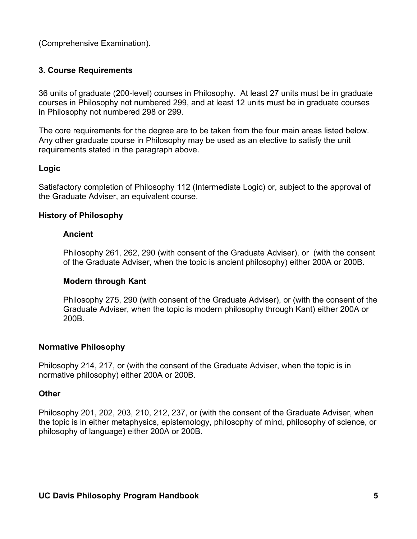(Comprehensive Examination).

#### **3. Course Requirements**

36 units of graduate (200-level) courses in Philosophy. At least 27 units must be in graduate courses in Philosophy not numbered 299, and at least 12 units must be in graduate courses in Philosophy not numbered 298 or 299.

The core requirements for the degree are to be taken from the four main areas listed below. Any other graduate course in Philosophy may be used as an elective to satisfy the unit requirements stated in the paragraph above.

#### **Logic**

Satisfactory completion of Philosophy 112 (Intermediate Logic) or, subject to the approval of the Graduate Adviser, an equivalent course.

#### **History of Philosophy**

#### **Ancient**

Philosophy 261, 262, 290 (with consent of the Graduate Adviser), or (with the consent of the Graduate Adviser, when the topic is ancient philosophy) either 200A or 200B.

#### **Modern through Kant**

Philosophy 275, 290 (with consent of the Graduate Adviser), or (with the consent of the Graduate Adviser, when the topic is modern philosophy through Kant) either 200A or 200B.

#### **Normative Philosophy**

Philosophy 214, 217, or (with the consent of the Graduate Adviser, when the topic is in normative philosophy) either 200A or 200B.

#### **Other**

Philosophy 201, 202, 203, 210, 212, 237, or (with the consent of the Graduate Adviser, when the topic is in either metaphysics, epistemology, philosophy of mind, philosophy of science, or philosophy of language) either 200A or 200B.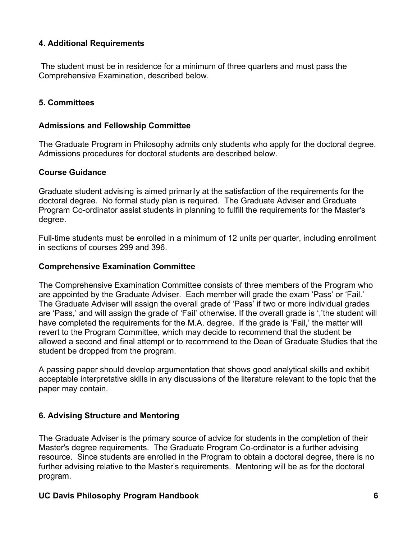### **4. Additional Requirements**

 The student must be in residence for a minimum of three quarters and must pass the Comprehensive Examination, described below.

# **5. Committees**

### **Admissions and Fellowship Committee**

The Graduate Program in Philosophy admits only students who apply for the doctoral degree. Admissions procedures for doctoral students are described below.

### **Course Guidance**

Graduate student advising is aimed primarily at the satisfaction of the requirements for the doctoral degree. No formal study plan is required. The Graduate Adviser and Graduate Program Co-ordinator assist students in planning to fulfill the requirements for the Master's degree.

Full-time students must be enrolled in a minimum of 12 units per quarter, including enrollment in sections of courses 299 and 396.

#### **Comprehensive Examination Committee**

The Comprehensive Examination Committee consists of three members of the Program who are appointed by the Graduate Adviser. Each member will grade the exam 'Pass' or 'Fail.' The Graduate Adviser will assign the overall grade of 'Pass' if two or more individual grades are 'Pass,' and will assign the grade of 'Fail' otherwise. If the overall grade is ','the student will have completed the requirements for the M.A. degree. If the grade is 'Fail,' the matter will revert to the Program Committee, which may decide to recommend that the student be allowed a second and final attempt or to recommend to the Dean of Graduate Studies that the student be dropped from the program.

A passing paper should develop argumentation that shows good analytical skills and exhibit acceptable interpretative skills in any discussions of the literature relevant to the topic that the paper may contain.

# **6. Advising Structure and Mentoring**

The Graduate Adviser is the primary source of advice for students in the completion of their Master's degree requirements. The Graduate Program Co-ordinator is a further advising resource. Since students are enrolled in the Program to obtain a doctoral degree, there is no further advising relative to the Master's requirements. Mentoring will be as for the doctoral program.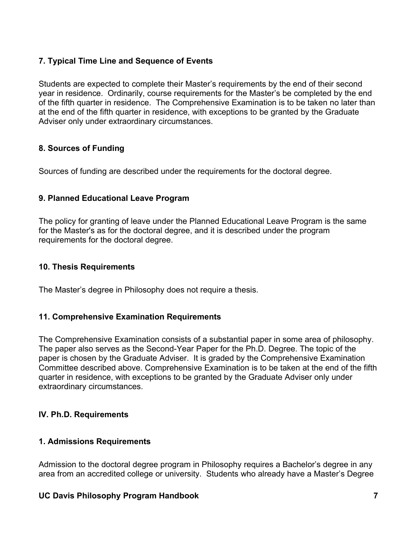# **7. Typical Time Line and Sequence of Events**

Students are expected to complete their Master's requirements by the end of their second year in residence. Ordinarily, course requirements for the Master's be completed by the end of the fifth quarter in residence. The Comprehensive Examination is to be taken no later than at the end of the fifth quarter in residence, with exceptions to be granted by the Graduate Adviser only under extraordinary circumstances.

### **8. Sources of Funding**

Sources of funding are described under the requirements for the doctoral degree.

# **9. Planned Educational Leave Program**

The policy for granting of leave under the Planned Educational Leave Program is the same for the Master's as for the doctoral degree, and it is described under the program requirements for the doctoral degree.

#### **10. Thesis Requirements**

The Master's degree in Philosophy does not require a thesis.

### **11. Comprehensive Examination Requirements**

The Comprehensive Examination consists of a substantial paper in some area of philosophy. The paper also serves as the Second-Year Paper for the Ph.D. Degree. The topic of the paper is chosen by the Graduate Adviser. It is graded by the Comprehensive Examination Committee described above. Comprehensive Examination is to be taken at the end of the fifth quarter in residence, with exceptions to be granted by the Graduate Adviser only under extraordinary circumstances.

### **IV. Ph.D. Requirements**

### **1. Admissions Requirements**

Admission to the doctoral degree program in Philosophy requires a Bachelor's degree in any area from an accredited college or university. Students who already have a Master's Degree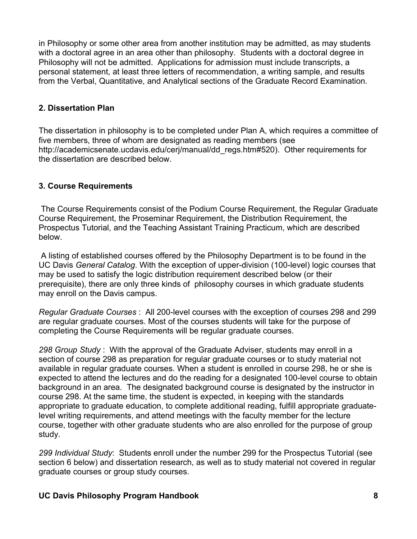in Philosophy or some other area from another institution may be admitted, as may students with a doctoral agree in an area other than philosophy. Students with a doctoral degree in Philosophy will not be admitted. Applications for admission must include transcripts, a personal statement, at least three letters of recommendation, a writing sample, and results from the Verbal, Quantitative, and Analytical sections of the Graduate Record Examination.

#### **2. Dissertation Plan**

The dissertation in philosophy is to be completed under Plan A, which requires a committee of five members, three of whom are designated as reading members (see http://academicsenate.ucdavis.edu/cerj/manual/dd\_regs.htm#520). Other requirements for the dissertation are described below.

#### **3. Course Requirements**

 The Course Requirements consist of the Podium Course Requirement, the Regular Graduate Course Requirement, the Proseminar Requirement, the Distribution Requirement, the Prospectus Tutorial, and the Teaching Assistant Training Practicum, which are described below.

 A listing of established courses offered by the Philosophy Department is to be found in the UC Davis *General Catalog*. With the exception of upper-division (100-level) logic courses that may be used to satisfy the logic distribution requirement described below (or their prerequisite), there are only three kinds of philosophy courses in which graduate students may enroll on the Davis campus.

*Regular Graduate Courses* : All 200-level courses with the exception of courses 298 and 299 are regular graduate courses. Most of the courses students will take for the purpose of completing the Course Requirements will be regular graduate courses.

*298 Group Study* : With the approval of the Graduate Adviser, students may enroll in a section of course 298 as preparation for regular graduate courses or to study material not available in regular graduate courses. When a student is enrolled in course 298, he or she is expected to attend the lectures and do the reading for a designated 100-level course to obtain background in an area. The designated background course is designated by the instructor in course 298. At the same time, the student is expected, in keeping with the standards appropriate to graduate education, to complete additional reading, fulfill appropriate graduatelevel writing requirements, and attend meetings with the faculty member for the lecture course, together with other graduate students who are also enrolled for the purpose of group study.

*299 Individual Study*: Students enroll under the number 299 for the Prospectus Tutorial (see section 6 below) and dissertation research, as well as to study material not covered in regular graduate courses or group study courses.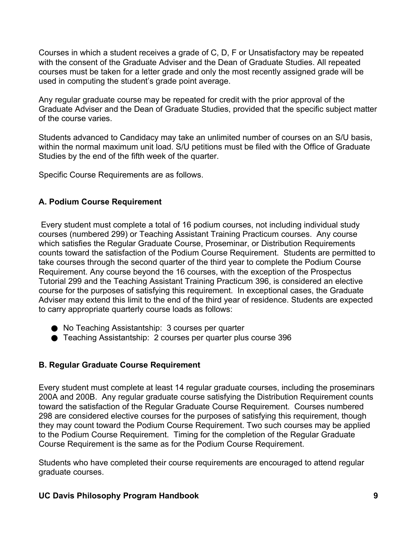Courses in which a student receives a grade of C, D, F or Unsatisfactory may be repeated with the consent of the Graduate Adviser and the Dean of Graduate Studies. All repeated courses must be taken for a letter grade and only the most recently assigned grade will be used in computing the student's grade point average.

Any regular graduate course may be repeated for credit with the prior approval of the Graduate Adviser and the Dean of Graduate Studies, provided that the specific subject matter of the course varies.

Students advanced to Candidacy may take an unlimited number of courses on an S/U basis, within the normal maximum unit load. S/U petitions must be filed with the Office of Graduate Studies by the end of the fifth week of the quarter.

Specific Course Requirements are as follows.

#### **A. Podium Course Requirement**

 Every student must complete a total of 16 podium courses, not including individual study courses (numbered 299) or Teaching Assistant Training Practicum courses. Any course which satisfies the Regular Graduate Course, Proseminar, or Distribution Requirements counts toward the satisfaction of the Podium Course Requirement. Students are permitted to take courses through the second quarter of the third year to complete the Podium Course Requirement. Any course beyond the 16 courses, with the exception of the Prospectus Tutorial 299 and the Teaching Assistant Training Practicum 396, is considered an elective course for the purposes of satisfying this requirement. In exceptional cases, the Graduate Adviser may extend this limit to the end of the third year of residence. Students are expected to carry appropriate quarterly course loads as follows:

- No Teaching Assistantship: 3 courses per quarter
- Teaching Assistantship: 2 courses per quarter plus course 396

### **B. Regular Graduate Course Requirement**

Every student must complete at least 14 regular graduate courses, including the proseminars 200A and 200B. Any regular graduate course satisfying the Distribution Requirement counts toward the satisfaction of the Regular Graduate Course Requirement. Courses numbered 298 are considered elective courses for the purposes of satisfying this requirement, though they may count toward the Podium Course Requirement. Two such courses may be applied to the Podium Course Requirement. Timing for the completion of the Regular Graduate Course Requirement is the same as for the Podium Course Requirement.

Students who have completed their course requirements are encouraged to attend regular graduate courses.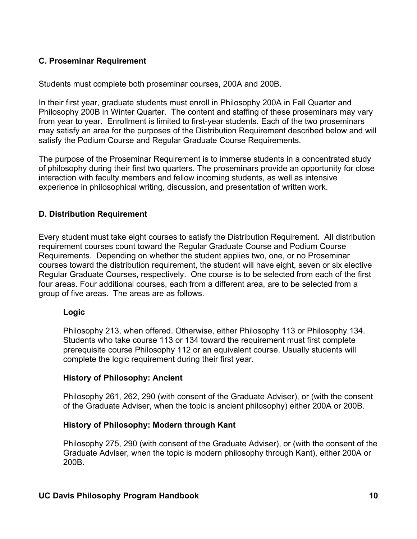### **C. Proseminar Requirement**

Students must complete both proseminar courses, 200A and 200B.

In their first year, graduate students must enroll in Philosophy 200A in Fall Quarter and Philosophy 200B in Winter Quarter. The content and staffing of these proseminars may vary from year to year. Enrollment is limited to first-year students. Each of the two proseminars may satisfy an area for the purposes of the Distribution Requirement described below and will satisfy the Podium Course and Regular Graduate Course Requirements.

The purpose of the Proseminar Requirement is to immerse students in a concentrated study of philosophy during their first two quarters. The proseminars provide an opportunity for close interaction with faculty members and fellow incoming students, as well as intensive experience in philosophical writing, discussion, and presentation of written work.

#### **D. Distribution Requirement**

Every student must take eight courses to satisfy the Distribution Requirement. All distribution requirement courses count toward the Regular Graduate Course and Podium Course Requirements. Depending on whether the student applies two, one, or no Proseminar courses toward the distribution requirement, the student will have eight, seven or six elective Regular Graduate Courses, respectively. One course is to be selected from each of the first four areas. Four additional courses, each from a different area, are to be selected from a group of five areas. The areas are as follows.

#### **Logic**

Philosophy 213, when offered. Otherwise, either Philosophy 113 or Philosophy 134. Students who take course 113 or 134 toward the requirement must first complete prerequisite course Philosophy 112 or an equivalent course. Usually students will complete the logic requirement during their first year.

#### **History of Philosophy: Ancient**

Philosophy 261, 262, 290 (with consent of the Graduate Adviser), or (with the consent of the Graduate Adviser, when the topic is ancient philosophy) either 200A or 200B.

#### **History of Philosophy: Modern through Kant**

Philosophy 275, 290 (with consent of the Graduate Adviser), or (with the consent of the Graduate Adviser, when the topic is modern philosophy through Kant), either 200A or 200B.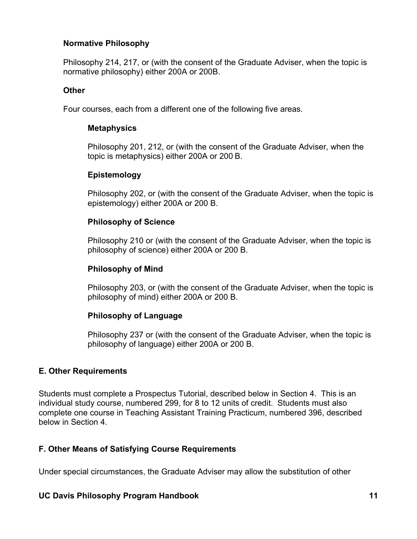#### **Normative Philosophy**

Philosophy 214, 217, or (with the consent of the Graduate Adviser, when the topic is normative philosophy) either 200A or 200B.

#### **Other**

Four courses, each from a different one of the following five areas.

#### **Metaphysics**

Philosophy 201, 212, or (with the consent of the Graduate Adviser, when the topic is metaphysics) either 200A or 200 B.

#### **Epistemology**

Philosophy 202, or (with the consent of the Graduate Adviser, when the topic is epistemology) either 200A or 200 B.

#### **Philosophy of Science**

Philosophy 210 or (with the consent of the Graduate Adviser, when the topic is philosophy of science) either 200A or 200 B.

#### **Philosophy of Mind**

Philosophy 203, or (with the consent of the Graduate Adviser, when the topic is philosophy of mind) either 200A or 200 B.

#### **Philosophy of Language**

Philosophy 237 or (with the consent of the Graduate Adviser, when the topic is philosophy of language) either 200A or 200 B.

### **E. Other Requirements**

Students must complete a Prospectus Tutorial, described below in Section 4. This is an individual study course, numbered 299, for 8 to 12 units of credit. Students must also complete one course in Teaching Assistant Training Practicum, numbered 396, described below in Section 4.

### **F. Other Means of Satisfying Course Requirements**

Under special circumstances, the Graduate Adviser may allow the substitution of other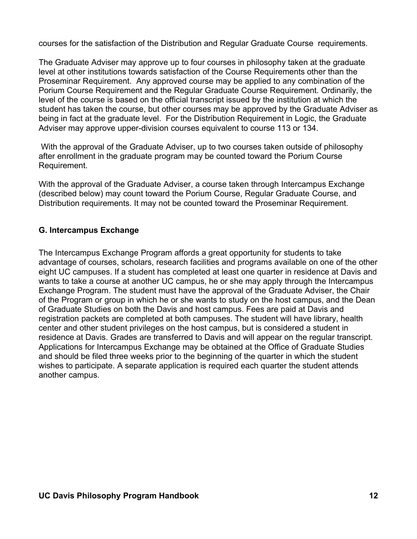courses for the satisfaction of the Distribution and Regular Graduate Course requirements.

The Graduate Adviser may approve up to four courses in philosophy taken at the graduate level at other institutions towards satisfaction of the Course Requirements other than the Proseminar Requirement. Any approved course may be applied to any combination of the Porium Course Requirement and the Regular Graduate Course Requirement. Ordinarily, the level of the course is based on the official transcript issued by the institution at which the student has taken the course, but other courses may be approved by the Graduate Adviser as being in fact at the graduate level. For the Distribution Requirement in Logic, the Graduate Adviser may approve upper-division courses equivalent to course 113 or 134.

 With the approval of the Graduate Adviser, up to two courses taken outside of philosophy after enrollment in the graduate program may be counted toward the Porium Course Requirement.

With the approval of the Graduate Adviser, a course taken through Intercampus Exchange (described below) may count toward the Porium Course, Regular Graduate Course, and Distribution requirements. It may not be counted toward the Proseminar Requirement.

### **G. Intercampus Exchange**

The Intercampus Exchange Program affords a great opportunity for students to take advantage of courses, scholars, research facilities and programs available on one of the other eight UC campuses. If a student has completed at least one quarter in residence at Davis and wants to take a course at another UC campus, he or she may apply through the Intercampus Exchange Program. The student must have the approval of the Graduate Adviser, the Chair of the Program or group in which he or she wants to study on the host campus, and the Dean of Graduate Studies on both the Davis and host campus. Fees are paid at Davis and registration packets are completed at both campuses. The student will have library, health center and other student privileges on the host campus, but is considered a student in residence at Davis. Grades are transferred to Davis and will appear on the regular transcript. Applications for Intercampus Exchange may be obtained at the Office of Graduate Studies and should be filed three weeks prior to the beginning of the quarter in which the student wishes to participate. A separate application is required each quarter the student attends another campus.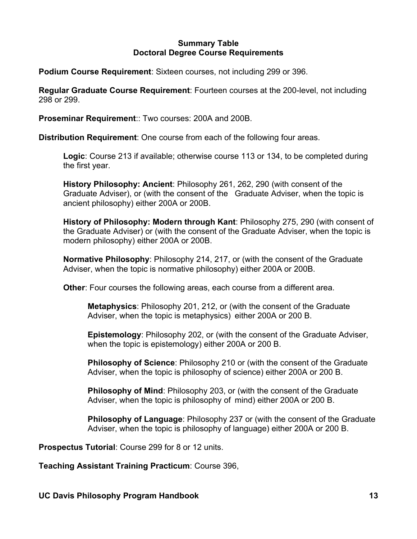#### **Summary Table Doctoral Degree Course Requirements**

**Podium Course Requirement**: Sixteen courses, not including 299 or 396.

**Regular Graduate Course Requirement**: Fourteen courses at the 200-level, not including 298 or 299.

**Proseminar Requirement**:: Two courses: 200A and 200B.

**Distribution Requirement**: One course from each of the following four areas.

**Logic**: Course 213 if available; otherwise course 113 or 134, to be completed during the first year.

**History Philosophy: Ancient**: Philosophy 261, 262, 290 (with consent of the Graduate Adviser), or (with the consent of the Graduate Adviser, when the topic is ancient philosophy) either 200A or 200B.

**History of Philosophy: Modern through Kant**: Philosophy 275, 290 (with consent of the Graduate Adviser) or (with the consent of the Graduate Adviser, when the topic is modern philosophy) either 200A or 200B.

**Normative Philosophy**: Philosophy 214, 217, or (with the consent of the Graduate Adviser, when the topic is normative philosophy) either 200A or 200B.

**Other**: Four courses the following areas, each course from a different area.

**Metaphysics**: Philosophy 201, 212, or (with the consent of the Graduate Adviser, when the topic is metaphysics) either 200A or 200 B.

**Epistemology**: Philosophy 202, or (with the consent of the Graduate Adviser, when the topic is epistemology) either 200A or 200 B.

**Philosophy of Science**: Philosophy 210 or (with the consent of the Graduate Adviser, when the topic is philosophy of science) either 200A or 200 B.

**Philosophy of Mind**: Philosophy 203, or (with the consent of the Graduate Adviser, when the topic is philosophy of mind) either 200A or 200 B.

**Philosophy of Language**: Philosophy 237 or (with the consent of the Graduate Adviser, when the topic is philosophy of language) either 200A or 200 B.

**Prospectus Tutorial**: Course 299 for 8 or 12 units.

**Teaching Assistant Training Practicum**: Course 396,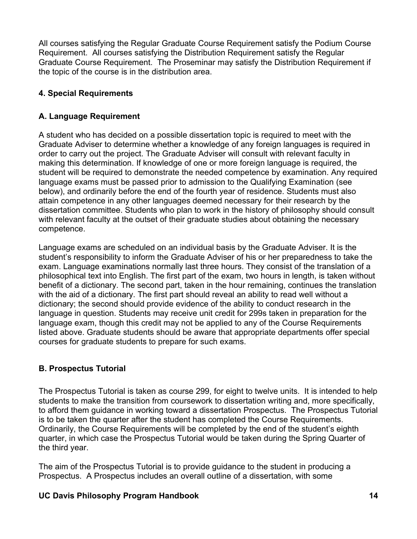All courses satisfying the Regular Graduate Course Requirement satisfy the Podium Course Requirement. All courses satisfying the Distribution Requirement satisfy the Regular Graduate Course Requirement. The Proseminar may satisfy the Distribution Requirement if the topic of the course is in the distribution area.

# **4. Special Requirements**

### **A. Language Requirement**

A student who has decided on a possible dissertation topic is required to meet with the Graduate Adviser to determine whether a knowledge of any foreign languages is required in order to carry out the project. The Graduate Adviser will consult with relevant faculty in making this determination. If knowledge of one or more foreign language is required, the student will be required to demonstrate the needed competence by examination. Any required language exams must be passed prior to admission to the Qualifying Examination (see below), and ordinarily before the end of the fourth year of residence. Students must also attain competence in any other languages deemed necessary for their research by the dissertation committee. Students who plan to work in the history of philosophy should consult with relevant faculty at the outset of their graduate studies about obtaining the necessary competence.

Language exams are scheduled on an individual basis by the Graduate Adviser. It is the student's responsibility to inform the Graduate Adviser of his or her preparedness to take the exam. Language examinations normally last three hours. They consist of the translation of a philosophical text into English. The first part of the exam, two hours in length, is taken without benefit of a dictionary. The second part, taken in the hour remaining, continues the translation with the aid of a dictionary. The first part should reveal an ability to read well without a dictionary; the second should provide evidence of the ability to conduct research in the language in question. Students may receive unit credit for 299s taken in preparation for the language exam, though this credit may not be applied to any of the Course Requirements listed above. Graduate students should be aware that appropriate departments offer special courses for graduate students to prepare for such exams.

# **B. Prospectus Tutorial**

The Prospectus Tutorial is taken as course 299, for eight to twelve units. It is intended to help students to make the transition from coursework to dissertation writing and, more specifically, to afford them guidance in working toward a dissertation Prospectus. The Prospectus Tutorial is to be taken the quarter after the student has completed the Course Requirements. Ordinarily, the Course Requirements will be completed by the end of the student's eighth quarter, in which case the Prospectus Tutorial would be taken during the Spring Quarter of the third year.

The aim of the Prospectus Tutorial is to provide guidance to the student in producing a Prospectus. A Prospectus includes an overall outline of a dissertation, with some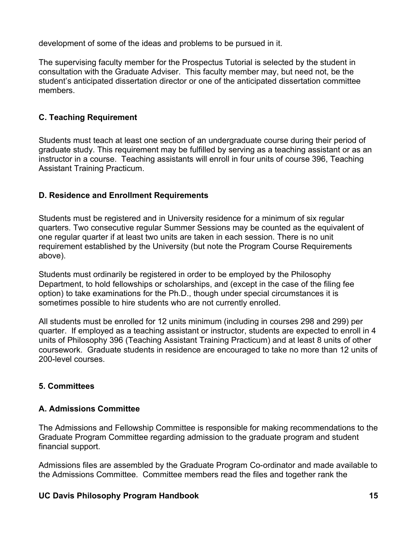development of some of the ideas and problems to be pursued in it.

The supervising faculty member for the Prospectus Tutorial is selected by the student in consultation with the Graduate Adviser. This faculty member may, but need not, be the student's anticipated dissertation director or one of the anticipated dissertation committee members.

# **C. Teaching Requirement**

Students must teach at least one section of an undergraduate course during their period of graduate study. This requirement may be fulfilled by serving as a teaching assistant or as an instructor in a course. Teaching assistants will enroll in four units of course 396, Teaching Assistant Training Practicum.

# **D. Residence and Enrollment Requirements**

Students must be registered and in University residence for a minimum of six regular quarters. Two consecutive regular Summer Sessions may be counted as the equivalent of one regular quarter if at least two units are taken in each session. There is no unit requirement established by the University (but note the Program Course Requirements above).

Students must ordinarily be registered in order to be employed by the Philosophy Department, to hold fellowships or scholarships, and (except in the case of the filing fee option) to take examinations for the Ph.D., though under special circumstances it is sometimes possible to hire students who are not currently enrolled.

All students must be enrolled for 12 units minimum (including in courses 298 and 299) per quarter. If employed as a teaching assistant or instructor, students are expected to enroll in 4 units of Philosophy 396 (Teaching Assistant Training Practicum) and at least 8 units of other coursework. Graduate students in residence are encouraged to take no more than 12 units of 200-level courses.

# **5. Committees**

# **A. Admissions Committee**

The Admissions and Fellowship Committee is responsible for making recommendations to the Graduate Program Committee regarding admission to the graduate program and student financial support.

Admissions files are assembled by the Graduate Program Co-ordinator and made available to the Admissions Committee. Committee members read the files and together rank the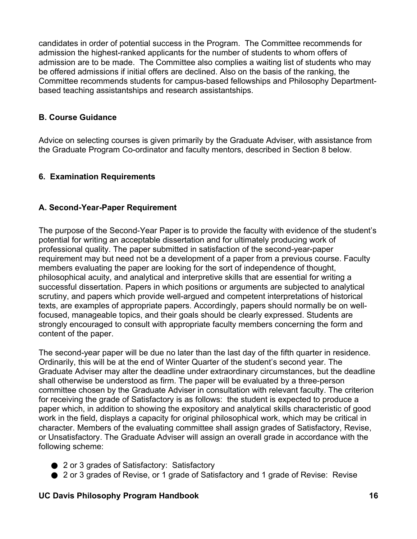candidates in order of potential success in the Program. The Committee recommends for admission the highest-ranked applicants for the number of students to whom offers of admission are to be made. The Committee also complies a waiting list of students who may be offered admissions if initial offers are declined. Also on the basis of the ranking, the Committee recommends students for campus-based fellowships and Philosophy Departmentbased teaching assistantships and research assistantships.

# **B. Course Guidance**

Advice on selecting courses is given primarily by the Graduate Adviser, with assistance from the Graduate Program Co-ordinator and faculty mentors, described in Section 8 below.

# **6. Examination Requirements**

# **A. Second-Year-Paper Requirement**

The purpose of the Second-Year Paper is to provide the faculty with evidence of the student's potential for writing an acceptable dissertation and for ultimately producing work of professional quality. The paper submitted in satisfaction of the second-year-paper requirement may but need not be a development of a paper from a previous course. Faculty members evaluating the paper are looking for the sort of independence of thought, philosophical acuity, and analytical and interpretive skills that are essential for writing a successful dissertation. Papers in which positions or arguments are subjected to analytical scrutiny, and papers which provide well-argued and competent interpretations of historical texts, are examples of appropriate papers. Accordingly, papers should normally be on wellfocused, manageable topics, and their goals should be clearly expressed. Students are strongly encouraged to consult with appropriate faculty members concerning the form and content of the paper.

The second-year paper will be due no later than the last day of the fifth quarter in residence. Ordinarily, this will be at the end of Winter Quarter of the student's second year. The Graduate Adviser may alter the deadline under extraordinary circumstances, but the deadline shall otherwise be understood as firm. The paper will be evaluated by a three-person committee chosen by the Graduate Adviser in consultation with relevant faculty. The criterion for receiving the grade of Satisfactory is as follows: the student is expected to produce a paper which, in addition to showing the expository and analytical skills characteristic of good work in the field, displays a capacity for original philosophical work, which may be critical in character. Members of the evaluating committee shall assign grades of Satisfactory, Revise, or Unsatisfactory. The Graduate Adviser will assign an overall grade in accordance with the following scheme:

- 2 or 3 grades of Satisfactory: Satisfactory
- 2 or 3 grades of Revise, or 1 grade of Satisfactory and 1 grade of Revise: Revise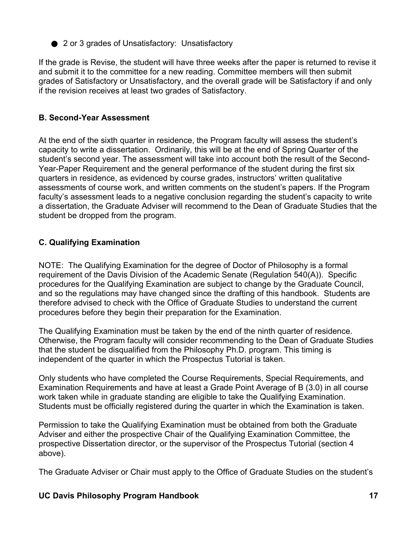● 2 or 3 grades of Unsatisfactory: Unsatisfactory

If the grade is Revise, the student will have three weeks after the paper is returned to revise it and submit it to the committee for a new reading. Committee members will then submit grades of Satisfactory or Unsatisfactory, and the overall grade will be Satisfactory if and only if the revision receives at least two grades of Satisfactory.

# **B. Second-Year Assessment**

At the end of the sixth quarter in residence, the Program faculty will assess the student's capacity to write a dissertation. Ordinarily, this will be at the end of Spring Quarter of the student's second year. The assessment will take into account both the result of the Second-Year-Paper Requirement and the general performance of the student during the first six quarters in residence, as evidenced by course grades, instructors' written qualitative assessments of course work, and written comments on the student's papers. If the Program faculty's assessment leads to a negative conclusion regarding the student's capacity to write a dissertation, the Graduate Adviser will recommend to the Dean of Graduate Studies that the student be dropped from the program.

# **C. Qualifying Examination**

NOTE: The Qualifying Examination for the degree of Doctor of Philosophy is a formal requirement of the Davis Division of the Academic Senate (Regulation 540(A)). Specific procedures for the Qualifying Examination are subject to change by the Graduate Council, and so the regulations may have changed since the drafting of this handbook. Students are therefore advised to check with the Office of Graduate Studies to understand the current procedures before they begin their preparation for the Examination.

The Qualifying Examination must be taken by the end of the ninth quarter of residence. Otherwise, the Program faculty will consider recommending to the Dean of Graduate Studies that the student be disqualified from the Philosophy Ph.D. program. This timing is independent of the quarter in which the Prospectus Tutorial is taken.

Only students who have completed the Course Requirements, Special Requirements, and Examination Requirements and have at least a Grade Point Average of B (3.0) in all course work taken while in graduate standing are eligible to take the Qualifying Examination. Students must be officially registered during the quarter in which the Examination is taken.

Permission to take the Qualifying Examination must be obtained from both the Graduate Adviser and either the prospective Chair of the Qualifying Examination Committee, the prospective Dissertation director, or the supervisor of the Prospectus Tutorial (section 4 above).

The Graduate Adviser or Chair must apply to the Office of Graduate Studies on the student's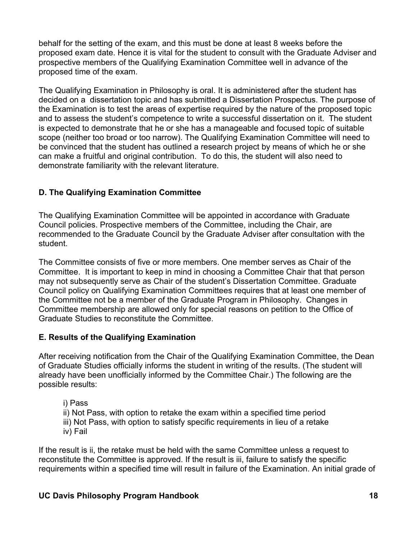behalf for the setting of the exam, and this must be done at least 8 weeks before the proposed exam date. Hence it is vital for the student to consult with the Graduate Adviser and prospective members of the Qualifying Examination Committee well in advance of the proposed time of the exam.

The Qualifying Examination in Philosophy is oral. It is administered after the student has decided on a dissertation topic and has submitted a Dissertation Prospectus. The purpose of the Examination is to test the areas of expertise required by the nature of the proposed topic and to assess the student's competence to write a successful dissertation on it. The student is expected to demonstrate that he or she has a manageable and focused topic of suitable scope (neither too broad or too narrow). The Qualifying Examination Committee will need to be convinced that the student has outlined a research project by means of which he or she can make a fruitful and original contribution. To do this, the student will also need to demonstrate familiarity with the relevant literature.

# **D. The Qualifying Examination Committee**

The Qualifying Examination Committee will be appointed in accordance with Graduate Council policies. Prospective members of the Committee, including the Chair, are recommended to the Graduate Council by the Graduate Adviser after consultation with the student.

The Committee consists of five or more members. One member serves as Chair of the Committee. It is important to keep in mind in choosing a Committee Chair that that person may not subsequently serve as Chair of the student's Dissertation Committee. Graduate Council policy on Qualifying Examination Committees requires that at least one member of the Committee not be a member of the Graduate Program in Philosophy. Changes in Committee membership are allowed only for special reasons on petition to the Office of Graduate Studies to reconstitute the Committee.

### **E. Results of the Qualifying Examination**

After receiving notification from the Chair of the Qualifying Examination Committee, the Dean of Graduate Studies officially informs the student in writing of the results. (The student will already have been unofficially informed by the Committee Chair.) The following are the possible results:

- i) Pass
- ii) Not Pass, with option to retake the exam within a specified time period
- iii) Not Pass, with option to satisfy specific requirements in lieu of a retake iv) Fail

If the result is ii, the retake must be held with the same Committee unless a request to reconstitute the Committee is approved. If the result is iii, failure to satisfy the specific requirements within a specified time will result in failure of the Examination. An initial grade of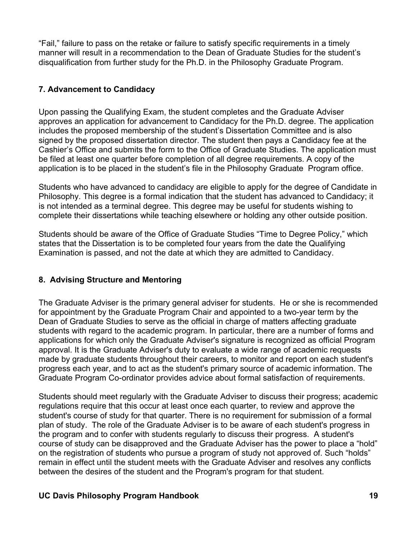"Fail," failure to pass on the retake or failure to satisfy specific requirements in a timely manner will result in a recommendation to the Dean of Graduate Studies for the student's disqualification from further study for the Ph.D. in the Philosophy Graduate Program.

# **7. Advancement to Candidacy**

Upon passing the Qualifying Exam, the student completes and the Graduate Adviser approves an application for advancement to Candidacy for the Ph.D. degree. The application includes the proposed membership of the student's Dissertation Committee and is also signed by the proposed dissertation director. The student then pays a Candidacy fee at the Cashier's Office and submits the form to the Office of Graduate Studies. The application must be filed at least one quarter before completion of all degree requirements. A copy of the application is to be placed in the student's file in the Philosophy Graduate Program office.

Students who have advanced to candidacy are eligible to apply for the degree of Candidate in Philosophy. This degree is a formal indication that the student has advanced to Candidacy; it is not intended as a terminal degree. This degree may be useful for students wishing to complete their dissertations while teaching elsewhere or holding any other outside position.

Students should be aware of the Office of Graduate Studies "Time to Degree Policy," which states that the Dissertation is to be completed four years from the date the Qualifying Examination is passed, and not the date at which they are admitted to Candidacy.

# **8. Advising Structure and Mentoring**

The Graduate Adviser is the primary general adviser for students. He or she is recommended for appointment by the Graduate Program Chair and appointed to a two-year term by the Dean of Graduate Studies to serve as the official in charge of matters affecting graduate students with regard to the academic program. In particular, there are a number of forms and applications for which only the Graduate Adviser's signature is recognized as official Program approval. It is the Graduate Adviser's duty to evaluate a wide range of academic requests made by graduate students throughout their careers, to monitor and report on each student's progress each year, and to act as the student's primary source of academic information. The Graduate Program Co-ordinator provides advice about formal satisfaction of requirements.

Students should meet regularly with the Graduate Adviser to discuss their progress; academic regulations require that this occur at least once each quarter, to review and approve the student's course of study for that quarter. There is no requirement for submission of a formal plan of study. The role of the Graduate Adviser is to be aware of each student's progress in the program and to confer with students regularly to discuss their progress. A student's course of study can be disapproved and the Graduate Adviser has the power to place a "hold" on the registration of students who pursue a program of study not approved of. Such "holds" remain in effect until the student meets with the Graduate Adviser and resolves any conflicts between the desires of the student and the Program's program for that student.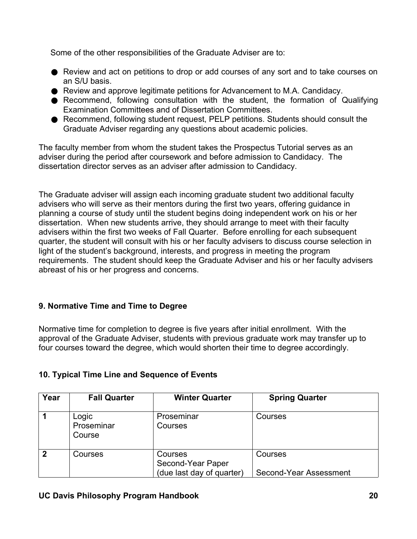Some of the other responsibilities of the Graduate Adviser are to:

- Review and act on petitions to drop or add courses of any sort and to take courses on an S/U basis.
- Review and approve legitimate petitions for Advancement to M.A. Candidacy.
- Recommend, following consultation with the student, the formation of Qualifying Examination Committees and of Dissertation Committees.
- Recommend, following student request, PELP petitions. Students should consult the Graduate Adviser regarding any questions about academic policies.

The faculty member from whom the student takes the Prospectus Tutorial serves as an adviser during the period after coursework and before admission to Candidacy. The dissertation director serves as an adviser after admission to Candidacy.

The Graduate adviser will assign each incoming graduate student two additional faculty advisers who will serve as their mentors during the first two years, offering guidance in planning a course of study until the student begins doing independent work on his or her dissertation. When new students arrive, they should arrange to meet with their faculty advisers within the first two weeks of Fall Quarter. Before enrolling for each subsequent quarter, the student will consult with his or her faculty advisers to discuss course selection in light of the student's background, interests, and progress in meeting the program requirements. The student should keep the Graduate Adviser and his or her faculty advisers abreast of his or her progress and concerns.

### **9. Normative Time and Time to Degree**

Normative time for completion to degree is five years after initial enrollment. With the approval of the Graduate Adviser, students with previous graduate work may transfer up to four courses toward the degree, which would shorten their time to degree accordingly.

| Year | <b>Fall Quarter</b>           | <b>Winter Quarter</b>                                     | <b>Spring Quarter</b>             |
|------|-------------------------------|-----------------------------------------------------------|-----------------------------------|
|      | Logic<br>Proseminar<br>Course | Proseminar<br>Courses                                     | Courses                           |
| 2    | Courses                       | Courses<br>Second-Year Paper<br>(due last day of quarter) | Courses<br>Second-Year Assessment |

# **10. Typical Time Line and Sequence of Events**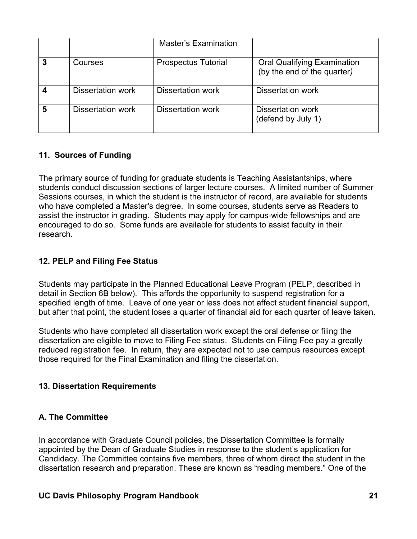|   |                   | Master's Examination       |                                                                   |
|---|-------------------|----------------------------|-------------------------------------------------------------------|
|   | Courses           | <b>Prospectus Tutorial</b> | <b>Oral Qualifying Examination</b><br>(by the end of the quarter) |
|   | Dissertation work | Dissertation work          | <b>Dissertation work</b>                                          |
| 5 | Dissertation work | Dissertation work          | Dissertation work<br>(defend by July 1)                           |

# **11. Sources of Funding**

The primary source of funding for graduate students is Teaching Assistantships, where students conduct discussion sections of larger lecture courses. A limited number of Summer Sessions courses, in which the student is the instructor of record, are available for students who have completed a Master's degree. In some courses, students serve as Readers to assist the instructor in grading. Students may apply for campus-wide fellowships and are encouraged to do so. Some funds are available for students to assist faculty in their research.

# **12. PELP and Filing Fee Status**

Students may participate in the Planned Educational Leave Program (PELP, described in detail in Section 6B below). This affords the opportunity to suspend registration for a specified length of time. Leave of one year or less does not affect student financial support, but after that point, the student loses a quarter of financial aid for each quarter of leave taken.

Students who have completed all dissertation work except the oral defense or filing the dissertation are eligible to move to Filing Fee status. Students on Filing Fee pay a greatly reduced registration fee. In return, they are expected not to use campus resources except those required for the Final Examination and filing the dissertation.

### **13. Dissertation Requirements**

### **A. The Committee**

In accordance with Graduate Council policies, the Dissertation Committee is formally appointed by the Dean of Graduate Studies in response to the student's application for Candidacy. The Committee contains five members, three of whom direct the student in the dissertation research and preparation. These are known as "reading members." One of the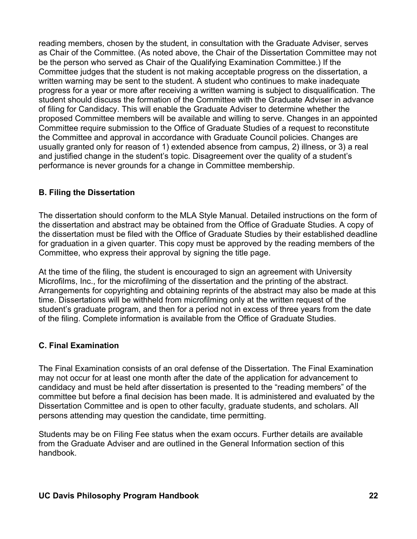reading members, chosen by the student, in consultation with the Graduate Adviser, serves as Chair of the Committee. (As noted above, the Chair of the Dissertation Committee may not be the person who served as Chair of the Qualifying Examination Committee.) If the Committee judges that the student is not making acceptable progress on the dissertation, a written warning may be sent to the student. A student who continues to make inadequate progress for a year or more after receiving a written warning is subject to disqualification. The student should discuss the formation of the Committee with the Graduate Adviser in advance of filing for Candidacy. This will enable the Graduate Adviser to determine whether the proposed Committee members will be available and willing to serve. Changes in an appointed Committee require submission to the Office of Graduate Studies of a request to reconstitute the Committee and approval in accordance with Graduate Council policies. Changes are usually granted only for reason of 1) extended absence from campus, 2) illness, or 3) a real and justified change in the student's topic. Disagreement over the quality of a student's performance is never grounds for a change in Committee membership.

### **B. Filing the Dissertation**

The dissertation should conform to the MLA Style Manual. Detailed instructions on the form of the dissertation and abstract may be obtained from the Office of Graduate Studies. A copy of the dissertation must be filed with the Office of Graduate Studies by their established deadline for graduation in a given quarter. This copy must be approved by the reading members of the Committee, who express their approval by signing the title page.

At the time of the filing, the student is encouraged to sign an agreement with University Microfilms, Inc., for the microfilming of the dissertation and the printing of the abstract. Arrangements for copyrighting and obtaining reprints of the abstract may also be made at this time. Dissertations will be withheld from microfilming only at the written request of the student's graduate program, and then for a period not in excess of three years from the date of the filing. Complete information is available from the Office of Graduate Studies.

### **C. Final Examination**

The Final Examination consists of an oral defense of the Dissertation. The Final Examination may not occur for at least one month after the date of the application for advancement to candidacy and must be held after dissertation is presented to the "reading members" of the committee but before a final decision has been made. It is administered and evaluated by the Dissertation Committee and is open to other faculty, graduate students, and scholars. All persons attending may question the candidate, time permitting.

Students may be on Filing Fee status when the exam occurs. Further details are available from the Graduate Adviser and are outlined in the General Information section of this handbook.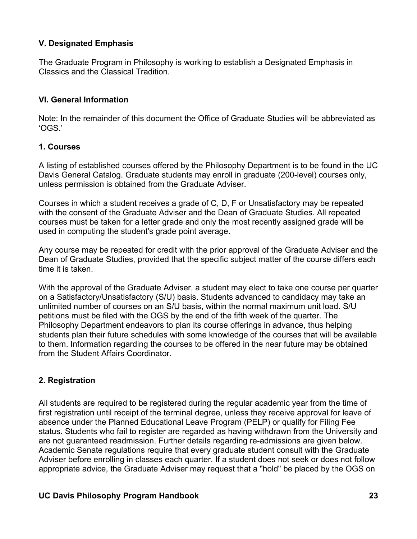### **V. Designated Emphasis**

The Graduate Program in Philosophy is working to establish a Designated Emphasis in Classics and the Classical Tradition.

### **VI. General Information**

Note: In the remainder of this document the Office of Graduate Studies will be abbreviated as 'OGS.'

### **1. Courses**

A listing of established courses offered by the Philosophy Department is to be found in the UC Davis General Catalog. Graduate students may enroll in graduate (200-level) courses only, unless permission is obtained from the Graduate Adviser.

Courses in which a student receives a grade of C, D, F or Unsatisfactory may be repeated with the consent of the Graduate Adviser and the Dean of Graduate Studies. All repeated courses must be taken for a letter grade and only the most recently assigned grade will be used in computing the student's grade point average.

Any course may be repeated for credit with the prior approval of the Graduate Adviser and the Dean of Graduate Studies, provided that the specific subject matter of the course differs each time it is taken.

With the approval of the Graduate Adviser, a student may elect to take one course per quarter on a Satisfactory/Unsatisfactory (S/U) basis. Students advanced to candidacy may take an unlimited number of courses on an S/U basis, within the normal maximum unit load. S/U petitions must be filed with the OGS by the end of the fifth week of the quarter. The Philosophy Department endeavors to plan its course offerings in advance, thus helping students plan their future schedules with some knowledge of the courses that will be available to them. Information regarding the courses to be offered in the near future may be obtained from the Student Affairs Coordinator.

# **2. Registration**

All students are required to be registered during the regular academic year from the time of first registration until receipt of the terminal degree, unless they receive approval for leave of absence under the Planned Educational Leave Program (PELP) or qualify for Filing Fee status. Students who fail to register are regarded as having withdrawn from the University and are not guaranteed readmission. Further details regarding re-admissions are given below. Academic Senate regulations require that every graduate student consult with the Graduate Adviser before enrolling in classes each quarter. If a student does not seek or does not follow appropriate advice, the Graduate Adviser may request that a "hold" be placed by the OGS on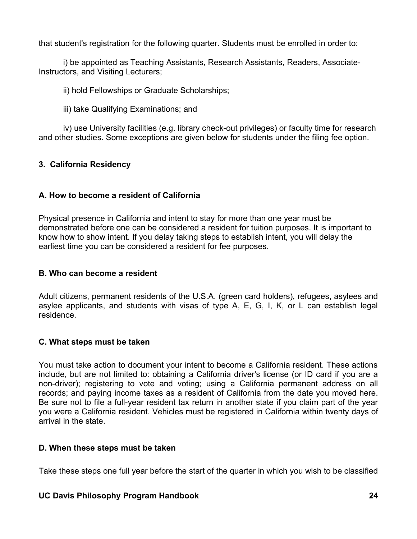that student's registration for the following quarter. Students must be enrolled in order to:

i) be appointed as Teaching Assistants, Research Assistants, Readers, Associate-Instructors, and Visiting Lecturers;

ii) hold Fellowships or Graduate Scholarships;

iii) take Qualifying Examinations; and

iv) use University facilities (e.g. library check-out privileges) or faculty time for research and other studies. Some exceptions are given below for students under the filing fee option.

# **3. California Residency**

### **A. How to become a resident of California**

Physical presence in California and intent to stay for more than one year must be demonstrated before one can be considered a resident for tuition purposes. It is important to know how to show intent. If you delay taking steps to establish intent, you will delay the earliest time you can be considered a resident for fee purposes.

#### **B. Who can become a resident**

Adult citizens, permanent residents of the U.S.A. (green card holders), refugees, asylees and asylee applicants, and students with visas of type A, E, G, I, K, or L can establish legal residence.

### **C. What steps must be taken**

You must take action to document your intent to become a California resident. These actions include, but are not limited to: obtaining a California driver's license (or ID card if you are a non-driver); registering to vote and voting; using a California permanent address on all records; and paying income taxes as a resident of California from the date you moved here. Be sure not to file a full-year resident tax return in another state if you claim part of the year you were a California resident. Vehicles must be registered in California within twenty days of arrival in the state.

#### **D. When these steps must be taken**

Take these steps one full year before the start of the quarter in which you wish to be classified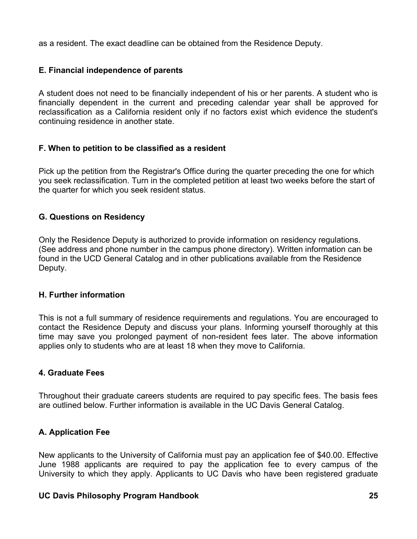as a resident. The exact deadline can be obtained from the Residence Deputy.

# **E. Financial independence of parents**

A student does not need to be financially independent of his or her parents. A student who is financially dependent in the current and preceding calendar year shall be approved for reclassification as a California resident only if no factors exist which evidence the student's continuing residence in another state.

#### **F. When to petition to be classified as a resident**

Pick up the petition from the Registrar's Office during the quarter preceding the one for which you seek reclassification. Turn in the completed petition at least two weeks before the start of the quarter for which you seek resident status.

#### **G. Questions on Residency**

Only the Residence Deputy is authorized to provide information on residency regulations. (See address and phone number in the campus phone directory). Written information can be found in the UCD General Catalog and in other publications available from the Residence Deputy.

#### **H. Further information**

This is not a full summary of residence requirements and regulations. You are encouraged to contact the Residence Deputy and discuss your plans. Informing yourself thoroughly at this time may save you prolonged payment of non-resident fees later. The above information applies only to students who are at least 18 when they move to California.

### **4. Graduate Fees**

Throughout their graduate careers students are required to pay specific fees. The basis fees are outlined below. Further information is available in the UC Davis General Catalog.

### **A. Application Fee**

New applicants to the University of California must pay an application fee of \$40.00. Effective June 1988 applicants are required to pay the application fee to every campus of the University to which they apply. Applicants to UC Davis who have been registered graduate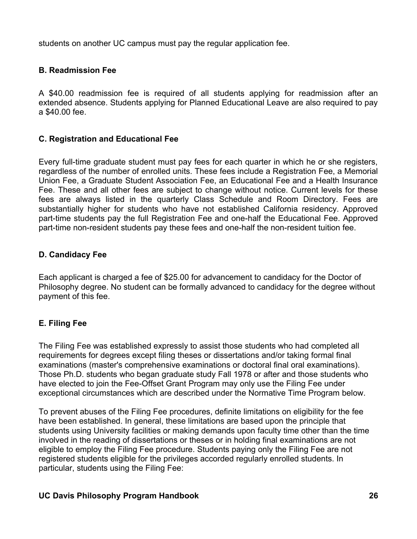students on another UC campus must pay the regular application fee.

# **B. Readmission Fee**

A \$40.00 readmission fee is required of all students applying for readmission after an extended absence. Students applying for Planned Educational Leave are also required to pay a \$40.00 fee.

# **C. Registration and Educational Fee**

Every full-time graduate student must pay fees for each quarter in which he or she registers, regardless of the number of enrolled units. These fees include a Registration Fee, a Memorial Union Fee, a Graduate Student Association Fee, an Educational Fee and a Health Insurance Fee. These and all other fees are subject to change without notice. Current levels for these fees are always listed in the quarterly Class Schedule and Room Directory. Fees are substantially higher for students who have not established California residency. Approved part-time students pay the full Registration Fee and one-half the Educational Fee. Approved part-time non-resident students pay these fees and one-half the non-resident tuition fee.

# **D. Candidacy Fee**

Each applicant is charged a fee of \$25.00 for advancement to candidacy for the Doctor of Philosophy degree. No student can be formally advanced to candidacy for the degree without payment of this fee.

# **E. Filing Fee**

The Filing Fee was established expressly to assist those students who had completed all requirements for degrees except filing theses or dissertations and/or taking formal final examinations (master's comprehensive examinations or doctoral final oral examinations). Those Ph.D. students who began graduate study Fall 1978 or after and those students who have elected to join the Fee-Offset Grant Program may only use the Filing Fee under exceptional circumstances which are described under the Normative Time Program below.

To prevent abuses of the Filing Fee procedures, definite limitations on eligibility for the fee have been established. In general, these limitations are based upon the principle that students using University facilities or making demands upon faculty time other than the time involved in the reading of dissertations or theses or in holding final examinations are not eligible to employ the Filing Fee procedure. Students paying only the Filing Fee are not registered students eligible for the privileges accorded regularly enrolled students. In particular, students using the Filing Fee: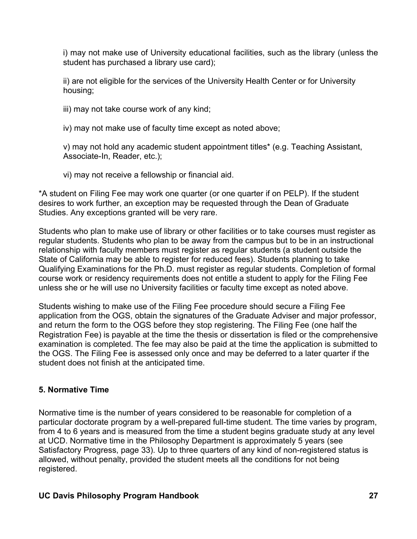i) may not make use of University educational facilities, such as the library (unless the student has purchased a library use card);

ii) are not eligible for the services of the University Health Center or for University housing;

iii) may not take course work of any kind;

iv) may not make use of faculty time except as noted above;

v) may not hold any academic student appointment titles\* (e.g. Teaching Assistant, Associate-In, Reader, etc.);

vi) may not receive a fellowship or financial aid.

\*A student on Filing Fee may work one quarter (or one quarter if on PELP). If the student desires to work further, an exception may be requested through the Dean of Graduate Studies. Any exceptions granted will be very rare.

Students who plan to make use of library or other facilities or to take courses must register as regular students. Students who plan to be away from the campus but to be in an instructional relationship with faculty members must register as regular students (a student outside the State of California may be able to register for reduced fees). Students planning to take Qualifying Examinations for the Ph.D. must register as regular students. Completion of formal course work or residency requirements does not entitle a student to apply for the Filing Fee unless she or he will use no University facilities or faculty time except as noted above.

Students wishing to make use of the Filing Fee procedure should secure a Filing Fee application from the OGS, obtain the signatures of the Graduate Adviser and major professor, and return the form to the OGS before they stop registering. The Filing Fee (one half the Registration Fee) is payable at the time the thesis or dissertation is filed or the comprehensive examination is completed. The fee may also be paid at the time the application is submitted to the OGS. The Filing Fee is assessed only once and may be deferred to a later quarter if the student does not finish at the anticipated time.

### **5. Normative Time**

Normative time is the number of years considered to be reasonable for completion of a particular doctorate program by a well-prepared full-time student. The time varies by program, from 4 to 6 years and is measured from the time a student begins graduate study at any level at UCD. Normative time in the Philosophy Department is approximately 5 years (see Satisfactory Progress, page 33). Up to three quarters of any kind of non-registered status is allowed, without penalty, provided the student meets all the conditions for not being registered.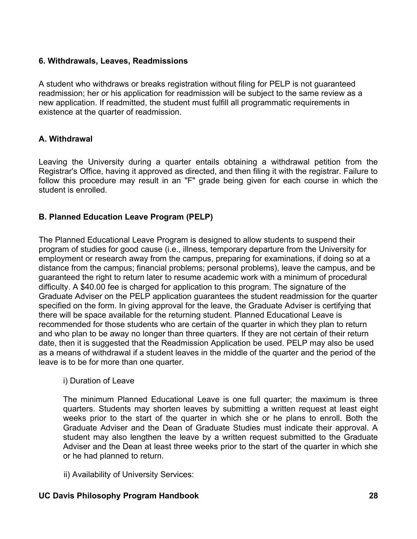### **6. Withdrawals, Leaves, Readmissions**

A student who withdraws or breaks registration without filing for PELP is not guaranteed readmission; her or his application for readmission will be subject to the same review as a new application. If readmitted, the student must fulfill all programmatic requirements in existence at the quarter of readmission.

### **A. Withdrawal**

Leaving the University during a quarter entails obtaining a withdrawal petition from the Registrar's Office, having it approved as directed, and then filing it with the registrar. Failure to follow this procedure may result in an "F" grade being given for each course in which the student is enrolled.

### **B. Planned Education Leave Program (PELP)**

The Planned Educational Leave Program is designed to allow students to suspend their program of studies for good cause (i.e., illness, temporary departure from the University for employment or research away from the campus, preparing for examinations, if doing so at a distance from the campus; financial problems; personal problems), leave the campus, and be guaranteed the right to return later to resume academic work with a minimum of procedural difficulty. A \$40.00 fee is charged for application to this program. The signature of the Graduate Adviser on the PELP application guarantees the student readmission for the quarter specified on the form. In giving approval for the leave, the Graduate Adviser is certifying that there will be space available for the returning student. Planned Educational Leave is recommended for those students who are certain of the quarter in which they plan to return and who plan to be away no longer than three quarters. If they are not certain of their return date, then it is suggested that the Readmission Application be used. PELP may also be used as a means of withdrawal if a student leaves in the middle of the quarter and the period of the leave is to be for more than one quarter.

#### i) Duration of Leave

The minimum Planned Educational Leave is one full quarter; the maximum is three quarters. Students may shorten leaves by submitting a written request at least eight weeks prior to the start of the quarter in which she or he plans to enroll. Both the Graduate Adviser and the Dean of Graduate Studies must indicate their approval. A student may also lengthen the leave by a written request submitted to the Graduate Adviser and the Dean at least three weeks prior to the start of the quarter in which she or he had planned to return.

ii) Availability of University Services: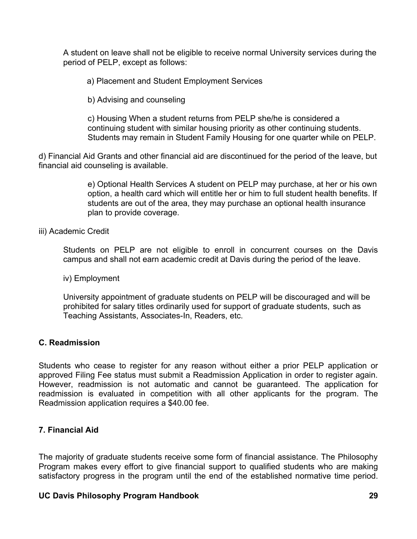A student on leave shall not be eligible to receive normal University services during the period of PELP, except as follows:

a) Placement and Student Employment Services

b) Advising and counseling

c) Housing When a student returns from PELP she/he is considered a continuing student with similar housing priority as other continuing students. Students may remain in Student Family Housing for one quarter while on PELP.

d) Financial Aid Grants and other financial aid are discontinued for the period of the leave, but financial aid counseling is available.

> e) Optional Health Services A student on PELP may purchase, at her or his own option, a health card which will entitle her or him to full student health benefits. If students are out of the area, they may purchase an optional health insurance plan to provide coverage.

iii) Academic Credit

Students on PELP are not eligible to enroll in concurrent courses on the Davis campus and shall not earn academic credit at Davis during the period of the leave.

iv) Employment

University appointment of graduate students on PELP will be discouraged and will be prohibited for salary titles ordinarily used for support of graduate students, such as Teaching Assistants, Associates-In, Readers, etc.

#### **C. Readmission**

Students who cease to register for any reason without either a prior PELP application or approved Filing Fee status must submit a Readmission Application in order to register again. However, readmission is not automatic and cannot be guaranteed. The application for readmission is evaluated in competition with all other applicants for the program. The Readmission application requires a \$40.00 fee.

#### **7. Financial Aid**

The majority of graduate students receive some form of financial assistance. The Philosophy Program makes every effort to give financial support to qualified students who are making satisfactory progress in the program until the end of the established normative time period.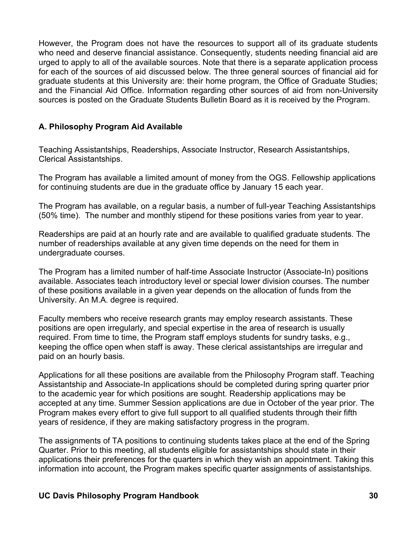However, the Program does not have the resources to support all of its graduate students who need and deserve financial assistance. Consequently, students needing financial aid are urged to apply to all of the available sources. Note that there is a separate application process for each of the sources of aid discussed below. The three general sources of financial aid for graduate students at this University are: their home program, the Office of Graduate Studies; and the Financial Aid Office. Information regarding other sources of aid from non-University sources is posted on the Graduate Students Bulletin Board as it is received by the Program.

#### **A. Philosophy Program Aid Available**

Teaching Assistantships, Readerships, Associate Instructor, Research Assistantships, Clerical Assistantships.

The Program has available a limited amount of money from the OGS. Fellowship applications for continuing students are due in the graduate office by January 15 each year.

The Program has available, on a regular basis, a number of full-year Teaching Assistantships (50% time). The number and monthly stipend for these positions varies from year to year.

Readerships are paid at an hourly rate and are available to qualified graduate students. The number of readerships available at any given time depends on the need for them in undergraduate courses.

The Program has a limited number of half-time Associate Instructor (Associate-In) positions available. Associates teach introductory level or special lower division courses. The number of these positions available in a given year depends on the allocation of funds from the University. An M.A. degree is required.

Faculty members who receive research grants may employ research assistants. These positions are open irregularly, and special expertise in the area of research is usually required. From time to time, the Program staff employs students for sundry tasks, e.g., keeping the office open when staff is away. These clerical assistantships are irregular and paid on an hourly basis.

Applications for all these positions are available from the Philosophy Program staff. Teaching Assistantship and Associate-In applications should be completed during spring quarter prior to the academic year for which positions are sought. Readership applications may be accepted at any time. Summer Session applications are due in October of the year prior. The Program makes every effort to give full support to all qualified students through their fifth years of residence, if they are making satisfactory progress in the program.

The assignments of TA positions to continuing students takes place at the end of the Spring Quarter. Prior to this meeting, all students eligible for assistantships should state in their applications their preferences for the quarters in which they wish an appointment. Taking this information into account, the Program makes specific quarter assignments of assistantships.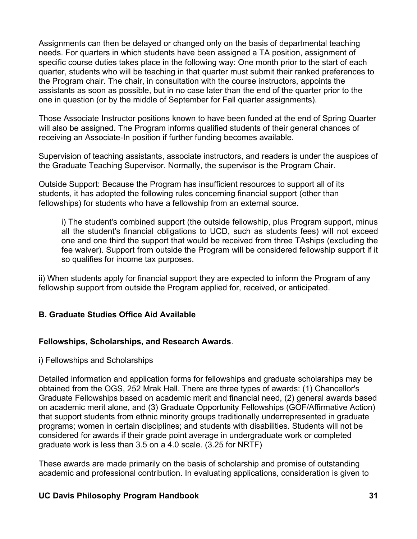Assignments can then be delayed or changed only on the basis of departmental teaching needs. For quarters in which students have been assigned a TA position, assignment of specific course duties takes place in the following way: One month prior to the start of each quarter, students who will be teaching in that quarter must submit their ranked preferences to the Program chair. The chair, in consultation with the course instructors, appoints the assistants as soon as possible, but in no case later than the end of the quarter prior to the one in question (or by the middle of September for Fall quarter assignments).

Those Associate Instructor positions known to have been funded at the end of Spring Quarter will also be assigned. The Program informs qualified students of their general chances of receiving an Associate-In position if further funding becomes available.

Supervision of teaching assistants, associate instructors, and readers is under the auspices of the Graduate Teaching Supervisor. Normally, the supervisor is the Program Chair.

Outside Support: Because the Program has insufficient resources to support all of its students, it has adopted the following rules concerning financial support (other than fellowships) for students who have a fellowship from an external source.

i) The student's combined support (the outside fellowship, plus Program support, minus all the student's financial obligations to UCD, such as students fees) will not exceed one and one third the support that would be received from three TAships (excluding the fee waiver). Support from outside the Program will be considered fellowship support if it so qualifies for income tax purposes.

ii) When students apply for financial support they are expected to inform the Program of any fellowship support from outside the Program applied for, received, or anticipated.

### **B. Graduate Studies Office Aid Available**

#### **Fellowships, Scholarships, and Research Awards**.

#### i) Fellowships and Scholarships

Detailed information and application forms for fellowships and graduate scholarships may be obtained from the OGS, 252 Mrak Hall. There are three types of awards: (1) Chancellor's Graduate Fellowships based on academic merit and financial need, (2) general awards based on academic merit alone, and (3) Graduate Opportunity Fellowships (GOF/Affirmative Action) that support students from ethnic minority groups traditionally underrepresented in graduate programs; women in certain disciplines; and students with disabilities. Students will not be considered for awards if their grade point average in undergraduate work or completed graduate work is less than 3.5 on a 4.0 scale. (3.25 for NRTF)

These awards are made primarily on the basis of scholarship and promise of outstanding academic and professional contribution. In evaluating applications, consideration is given to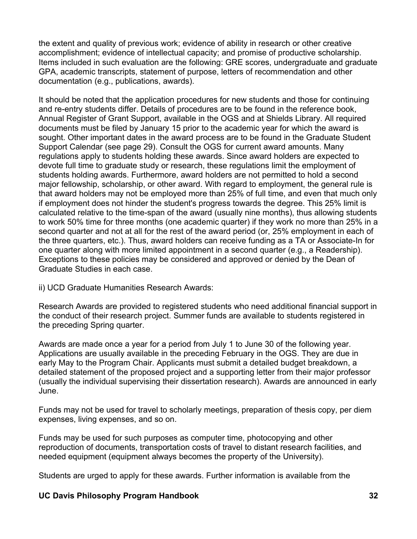the extent and quality of previous work; evidence of ability in research or other creative accomplishment; evidence of intellectual capacity; and promise of productive scholarship. Items included in such evaluation are the following: GRE scores, undergraduate and graduate GPA, academic transcripts, statement of purpose, letters of recommendation and other documentation (e.g., publications, awards).

It should be noted that the application procedures for new students and those for continuing and re-entry students differ. Details of procedures are to be found in the reference book, Annual Register of Grant Support, available in the OGS and at Shields Library. All required documents must be filed by January 15 prior to the academic year for which the award is sought. Other important dates in the award process are to be found in the Graduate Student Support Calendar (see page 29). Consult the OGS for current award amounts. Many regulations apply to students holding these awards. Since award holders are expected to devote full time to graduate study or research, these regulations limit the employment of students holding awards. Furthermore, award holders are not permitted to hold a second major fellowship, scholarship, or other award. With regard to employment, the general rule is that award holders may not be employed more than 25% of full time, and even that much only if employment does not hinder the student's progress towards the degree. This 25% limit is calculated relative to the time-span of the award (usually nine months), thus allowing students to work 50% time for three months (one academic quarter) if they work no more than 25% in a second quarter and not at all for the rest of the award period (or, 25% employment in each of the three quarters, etc.). Thus, award holders can receive funding as a TA or Associate-In for one quarter along with more limited appointment in a second quarter (e.g., a Readership). Exceptions to these policies may be considered and approved or denied by the Dean of Graduate Studies in each case.

ii) UCD Graduate Humanities Research Awards:

Research Awards are provided to registered students who need additional financial support in the conduct of their research project. Summer funds are available to students registered in the preceding Spring quarter.

Awards are made once a year for a period from July 1 to June 30 of the following year. Applications are usually available in the preceding February in the OGS. They are due in early May to the Program Chair. Applicants must submit a detailed budget breakdown, a detailed statement of the proposed project and a supporting letter from their major professor (usually the individual supervising their dissertation research). Awards are announced in early June.

Funds may not be used for travel to scholarly meetings, preparation of thesis copy, per diem expenses, living expenses, and so on.

Funds may be used for such purposes as computer time, photocopying and other reproduction of documents, transportation costs of travel to distant research facilities, and needed equipment (equipment always becomes the property of the University).

Students are urged to apply for these awards. Further information is available from the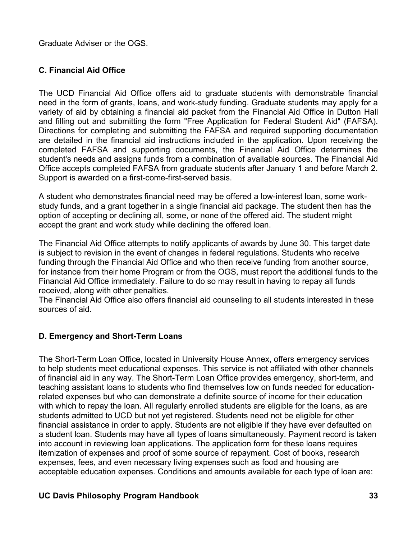Graduate Adviser or the OGS.

# **C. Financial Aid Office**

The UCD Financial Aid Office offers aid to graduate students with demonstrable financial need in the form of grants, loans, and work-study funding. Graduate students may apply for a variety of aid by obtaining a financial aid packet from the Financial Aid Office in Dutton Hall and filling out and submitting the form "Free Application for Federal Student Aid" (FAFSA). Directions for completing and submitting the FAFSA and required supporting documentation are detailed in the financial aid instructions included in the application. Upon receiving the completed FAFSA and supporting documents, the Financial Aid Office determines the student's needs and assigns funds from a combination of available sources. The Financial Aid Office accepts completed FAFSA from graduate students after January 1 and before March 2. Support is awarded on a first-come-first-served basis.

A student who demonstrates financial need may be offered a low-interest loan, some workstudy funds, and a grant together in a single financial aid package. The student then has the option of accepting or declining all, some, or none of the offered aid. The student might accept the grant and work study while declining the offered loan.

The Financial Aid Office attempts to notify applicants of awards by June 30. This target date is subject to revision in the event of changes in federal regulations. Students who receive funding through the Financial Aid Office and who then receive funding from another source, for instance from their home Program or from the OGS, must report the additional funds to the Financial Aid Office immediately. Failure to do so may result in having to repay all funds received, along with other penalties.

The Financial Aid Office also offers financial aid counseling to all students interested in these sources of aid.

# **D. Emergency and Short-Term Loans**

The Short-Term Loan Office, located in University House Annex, offers emergency services to help students meet educational expenses. This service is not affiliated with other channels of financial aid in any way. The Short-Term Loan Office provides emergency, short-term, and teaching assistant loans to students who find themselves low on funds needed for educationrelated expenses but who can demonstrate a definite source of income for their education with which to repay the loan. All regularly enrolled students are eligible for the loans, as are students admitted to UCD but not yet registered. Students need not be eligible for other financial assistance in order to apply. Students are not eligible if they have ever defaulted on a student loan. Students may have all types of loans simultaneously. Payment record is taken into account in reviewing loan applications. The application form for these loans requires itemization of expenses and proof of some source of repayment. Cost of books, research expenses, fees, and even necessary living expenses such as food and housing are acceptable education expenses. Conditions and amounts available for each type of loan are: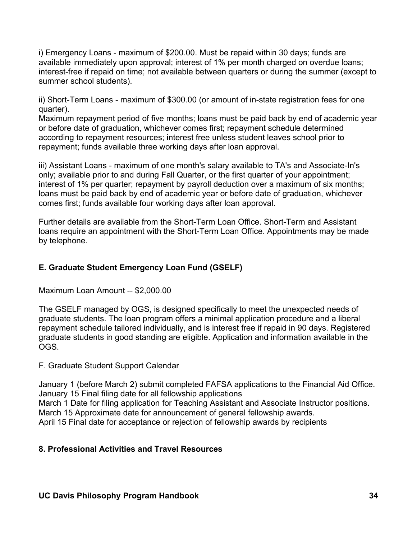i) Emergency Loans - maximum of \$200.00. Must be repaid within 30 days; funds are available immediately upon approval; interest of 1% per month charged on overdue loans; interest-free if repaid on time; not available between quarters or during the summer (except to summer school students).

ii) Short-Term Loans - maximum of \$300.00 (or amount of in-state registration fees for one quarter).

Maximum repayment period of five months; loans must be paid back by end of academic year or before date of graduation, whichever comes first; repayment schedule determined according to repayment resources; interest free unless student leaves school prior to repayment; funds available three working days after loan approval.

iii) Assistant Loans - maximum of one month's salary available to TA's and Associate-In's only; available prior to and during Fall Quarter, or the first quarter of your appointment; interest of 1% per quarter; repayment by payroll deduction over a maximum of six months; loans must be paid back by end of academic year or before date of graduation, whichever comes first; funds available four working days after loan approval.

Further details are available from the Short-Term Loan Office. Short-Term and Assistant loans require an appointment with the Short-Term Loan Office. Appointments may be made by telephone.

# **E. Graduate Student Emergency Loan Fund (GSELF)**

Maximum Loan Amount -- \$2,000.00

The GSELF managed by OGS, is designed specifically to meet the unexpected needs of graduate students. The loan program offers a minimal application procedure and a liberal repayment schedule tailored individually, and is interest free if repaid in 90 days. Registered graduate students in good standing are eligible. Application and information available in the OGS.

F. Graduate Student Support Calendar

January 1 (before March 2) submit completed FAFSA applications to the Financial Aid Office. January 15 Final filing date for all fellowship applications March 1 Date for filing application for Teaching Assistant and Associate Instructor positions. March 15 Approximate date for announcement of general fellowship awards. April 15 Final date for acceptance or rejection of fellowship awards by recipients

### **8. Professional Activities and Travel Resources**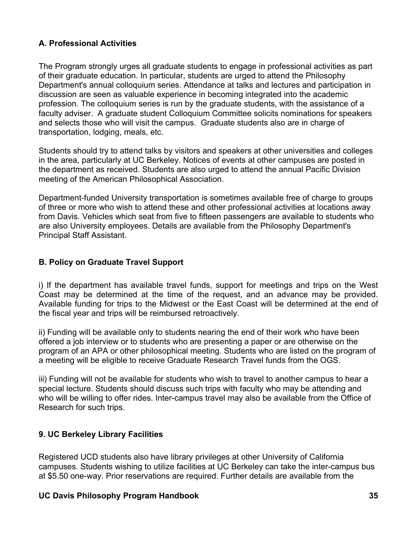# **A. Professional Activities**

The Program strongly urges all graduate students to engage in professional activities as part of their graduate education. In particular, students are urged to attend the Philosophy Department's annual colloquium series. Attendance at talks and lectures and participation in discussion are seen as valuable experience in becoming integrated into the academic profession. The colloquium series is run by the graduate students, with the assistance of a faculty adviser. A graduate student Colloquium Committee solicits nominations for speakers and selects those who will visit the campus. Graduate students also are in charge of transportation, lodging, meals, etc.

Students should try to attend talks by visitors and speakers at other universities and colleges in the area, particularly at UC Berkeley. Notices of events at other campuses are posted in the department as received. Students are also urged to attend the annual Pacific Division meeting of the American Philosophical Association.

Department-funded University transportation is sometimes available free of charge to groups of three or more who wish to attend these and other professional activities at locations away from Davis. Vehicles which seat from five to fifteen passengers are available to students who are also University employees. Details are available from the Philosophy Department's Principal Staff Assistant.

# **B. Policy on Graduate Travel Support**

i) If the department has available travel funds, support for meetings and trips on the West Coast may be determined at the time of the request, and an advance may be provided. Available funding for trips to the Midwest or the East Coast will be determined at the end of the fiscal year and trips will be reimbursed retroactively.

ii) Funding will be available only to students nearing the end of their work who have been offered a job interview or to students who are presenting a paper or are otherwise on the program of an APA or other philosophical meeting. Students who are listed on the program of a meeting will be eligible to receive Graduate Research Travel funds from the OGS.

iii) Funding will not be available for students who wish to travel to another campus to hear a special lecture. Students should discuss such trips with faculty who may be attending and who will be willing to offer rides. Inter-campus travel may also be available from the Office of Research for such trips.

# **9. UC Berkeley Library Facilities**

Registered UCD students also have library privileges at other University of California campuses. Students wishing to utilize facilities at UC Berkeley can take the inter-campus bus at \$5.50 one-way. Prior reservations are required. Further details are available from the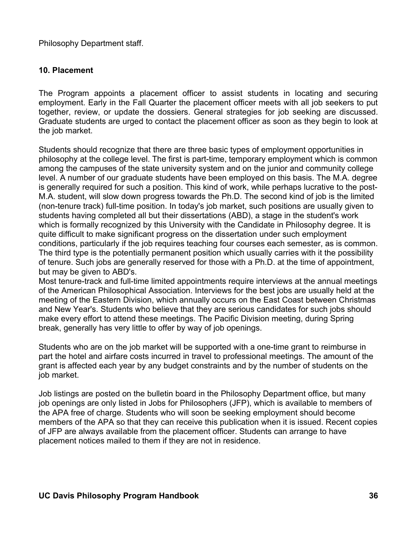Philosophy Department staff.

### **10. Placement**

The Program appoints a placement officer to assist students in locating and securing employment. Early in the Fall Quarter the placement officer meets with all job seekers to put together, review, or update the dossiers. General strategies for job seeking are discussed. Graduate students are urged to contact the placement officer as soon as they begin to look at the job market.

Students should recognize that there are three basic types of employment opportunities in philosophy at the college level. The first is part-time, temporary employment which is common among the campuses of the state university system and on the junior and community college level. A number of our graduate students have been employed on this basis. The M.A. degree is generally required for such a position. This kind of work, while perhaps lucrative to the post-M.A. student, will slow down progress towards the Ph.D. The second kind of job is the limited (non-tenure track) full-time position. In today's job market, such positions are usually given to students having completed all but their dissertations (ABD), a stage in the student's work which is formally recognized by this University with the Candidate in Philosophy degree. It is quite difficult to make significant progress on the dissertation under such employment conditions, particularly if the job requires teaching four courses each semester, as is common. The third type is the potentially permanent position which usually carries with it the possibility of tenure. Such jobs are generally reserved for those with a Ph.D. at the time of appointment, but may be given to ABD's.

Most tenure-track and full-time limited appointments require interviews at the annual meetings of the American Philosophical Association. Interviews for the best jobs are usually held at the meeting of the Eastern Division, which annually occurs on the East Coast between Christmas and New Year's. Students who believe that they are serious candidates for such jobs should make every effort to attend these meetings. The Pacific Division meeting, during Spring break, generally has very little to offer by way of job openings.

Students who are on the job market will be supported with a one-time grant to reimburse in part the hotel and airfare costs incurred in travel to professional meetings. The amount of the grant is affected each year by any budget constraints and by the number of students on the job market.

Job listings are posted on the bulletin board in the Philosophy Department office, but many job openings are only listed in Jobs for Philosophers (JFP), which is available to members of the APA free of charge. Students who will soon be seeking employment should become members of the APA so that they can receive this publication when it is issued. Recent copies of JFP are always available from the placement officer. Students can arrange to have placement notices mailed to them if they are not in residence.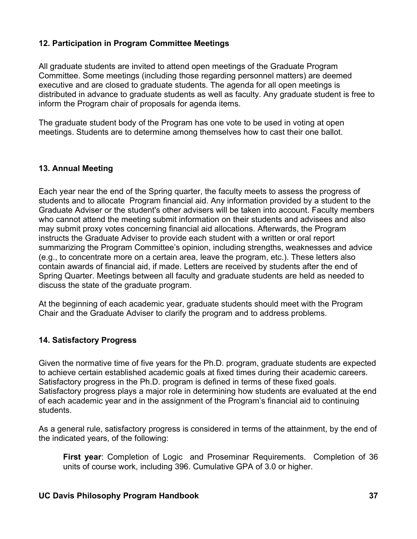### **12. Participation in Program Committee Meetings**

All graduate students are invited to attend open meetings of the Graduate Program Committee. Some meetings (including those regarding personnel matters) are deemed executive and are closed to graduate students. The agenda for all open meetings is distributed in advance to graduate students as well as faculty. Any graduate student is free to inform the Program chair of proposals for agenda items.

The graduate student body of the Program has one vote to be used in voting at open meetings. Students are to determine among themselves how to cast their one ballot.

# **13. Annual Meeting**

Each year near the end of the Spring quarter, the faculty meets to assess the progress of students and to allocate Program financial aid. Any information provided by a student to the Graduate Adviser or the student's other advisers will be taken into account. Faculty members who cannot attend the meeting submit information on their students and advisees and also may submit proxy votes concerning financial aid allocations. Afterwards, the Program instructs the Graduate Adviser to provide each student with a written or oral report summarizing the Program Committee's opinion, including strengths, weaknesses and advice (e.g., to concentrate more on a certain area, leave the program, etc.). These letters also contain awards of financial aid, if made. Letters are received by students after the end of Spring Quarter. Meetings between all faculty and graduate students are held as needed to discuss the state of the graduate program.

At the beginning of each academic year, graduate students should meet with the Program Chair and the Graduate Adviser to clarify the program and to address problems.

### **14. Satisfactory Progress**

Given the normative time of five years for the Ph.D. program, graduate students are expected to achieve certain established academic goals at fixed times during their academic careers. Satisfactory progress in the Ph.D. program is defined in terms of these fixed goals. Satisfactory progress plays a major role in determining how students are evaluated at the end of each academic year and in the assignment of the Program's financial aid to continuing students.

As a general rule, satisfactory progress is considered in terms of the attainment, by the end of the indicated years, of the following:

**First year**: Completion of Logic and Proseminar Requirements. Completion of 36 units of course work, including 396. Cumulative GPA of 3.0 or higher.